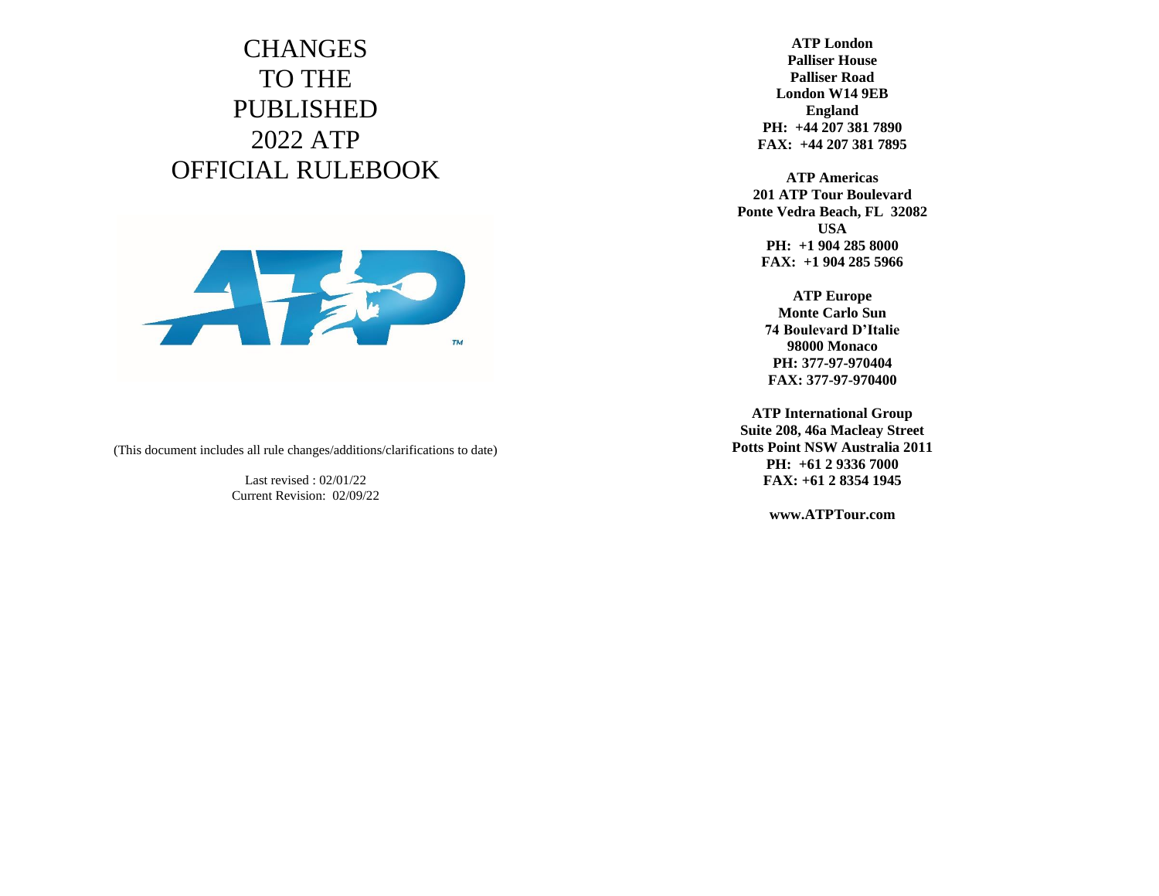## **CHANGES** TO THE PUBLISHED 2022 ATP OFFICIAL RULEBOOK



(This document includes all rule changes/additions/clarifications to date)

Last revised : 02/01/22 Current Revision: 02/09/22

**ATP London Palliser House Palliser Road London W14 9EB England PH: +44 207 381 7890 FAX: +44 207 381 7895**

**ATP Americas 201 ATP Tour Boulevard Ponte Vedra Beach, FL 32082 USA PH: +1 904 285 8000 FAX: +1 904 285 5966**

> **ATP Europe Monte Carlo Sun 74 Boulevard D'Italie 98000 Monaco PH: 377-97-970404 FAX: 377-97-970400**

**ATP International Group Suite 208, 46a Macleay Street Potts Point NSW Australia 2011 PH: +61 2 9336 7000 FAX: +61 2 8354 1945**

**www.ATPTour.com**